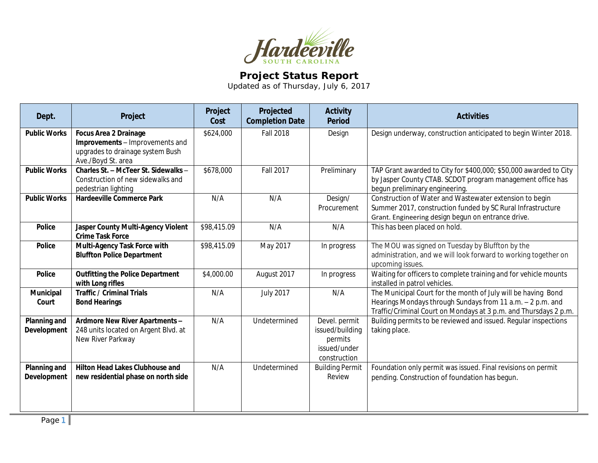

## **Project Status Report**

Updated as of Thursday, July 6, 2017

| Dept.                              | Project                                                                                                                   | Project<br>Cost | Projected<br><b>Completion Date</b> | <b>Activity</b><br>Period                                                   | <b>Activities</b>                                                                                                                                                                               |
|------------------------------------|---------------------------------------------------------------------------------------------------------------------------|-----------------|-------------------------------------|-----------------------------------------------------------------------------|-------------------------------------------------------------------------------------------------------------------------------------------------------------------------------------------------|
| <b>Public Works</b>                | <b>Focus Area 2 Drainage</b><br>Improvements - Improvements and<br>upgrades to drainage system Bush<br>Ave./Boyd St. area | \$624,000       | <b>Fall 2018</b>                    | Design                                                                      | Design underway, construction anticipated to begin Winter 2018.                                                                                                                                 |
| <b>Public Works</b>                | Charles St. - McTeer St. Sidewalks -<br>Construction of new sidewalks and<br>pedestrian lighting                          | \$678,000       | <b>Fall 2017</b>                    | Preliminary                                                                 | TAP Grant awarded to City for \$400,000; \$50,000 awarded to City<br>by Jasper County CTAB. SCDOT program management office has<br>begun preliminary engineering                                |
| <b>Public Works</b>                | <b>Hardeeville Commerce Park</b>                                                                                          | N/A             | N/A                                 | Design/<br>Procurement                                                      | Construction of Water and Wastewater extension to begin<br>Summer 2017, construction funded by SC Rural Infrastructure<br>Grant. Engineering design begun on entrance drive.                    |
| <b>Police</b>                      | <b>Jasper County Multi-Agency Violent</b><br><b>Crime Task Force</b>                                                      | \$98,415.09     | N/A                                 | N/A                                                                         | This has been placed on hold.                                                                                                                                                                   |
| <b>Police</b>                      | Multi-Agency Task Force with<br><b>Bluffton Police Department</b>                                                         | \$98,415.09     | May 2017                            | In progress                                                                 | The MOU was signed on Tuesday by Bluffton by the<br>administration, and we will look forward to working together on<br>upcoming issues.                                                         |
| <b>Police</b>                      | <b>Outfitting the Police Department</b><br>with Long rifles                                                               | \$4,000.00      | August 2017                         | In progress                                                                 | Waiting for officers to complete training and for vehicle mounts<br>installed in patrol vehicles.                                                                                               |
| Municipal<br>Court                 | <b>Traffic / Criminal Trials</b><br><b>Bond Hearings</b>                                                                  | N/A             | <b>July 2017</b>                    | N/A                                                                         | The Municipal Court for the month of July will be having Bond<br>Hearings Mondays through Sundays from 11 a.m. - 2 p.m. and<br>Traffic/Criminal Court on Mondays at 3 p.m. and Thursdays 2 p.m. |
| <b>Planning and</b><br>Development | Ardmore New River Apartments -<br>248 units located on Argent Blvd. at<br>New River Parkway                               | N/A             | Undetermined                        | Devel. permit<br>issued/building<br>permits<br>issued/under<br>construction | Building permits to be reviewed and issued. Regular inspections<br>taking place.                                                                                                                |
| Planning and<br><b>Development</b> | <b>Hilton Head Lakes Clubhouse and</b><br>new residential phase on north side                                             | N/A             | Undetermined                        | <b>Building Permit</b><br>Review                                            | Foundation only permit was issued. Final revisions on permit<br>pending. Construction of foundation has begun.                                                                                  |